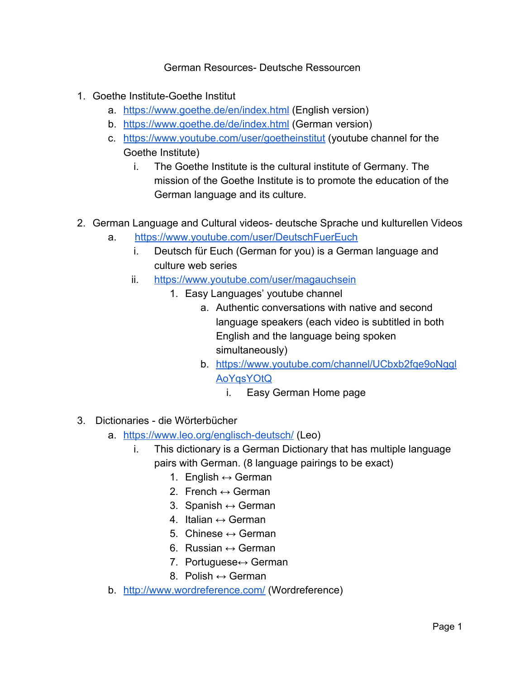German Resources- Deutsche Ressourcen

- 1. Goethe Institute-Goethe Institut
	- a. <https://www.goethe.de/en/index.html>(English version)
	- b. <https://www.goethe.de/de/index.html>(German version)
	- c. <https://www.youtube.com/user/goetheinstitut>(youtube channel for the Goethe Institute)
		- i. The Goethe Institute is the cultural institute of Germany. The mission of the Goethe Institute is to promote the education of the German language and its culture.
- 2. German Language and Cultural videos- deutsche Sprache und kulturellen Videos
	- a. <https://www.youtube.com/user/DeutschFuerEuch>
		- i. Deutsch für Euch (German for you) is a German language and culture web series
		- ii. <https://www.youtube.com/user/magauchsein>
			- 1. Easy Languages' youtube channel
				- a. Authentic conversations with native and second language speakers (each video is subtitled in both English and the language being spoken simultaneously)
				- b. [https://www.youtube.com/channel/UCbxb2fqe9oNggl](https://www.youtube.com/channel/UCbxb2fqe9oNgglAoYqsYOtQ) [AoYqsYOtQ](https://www.youtube.com/channel/UCbxb2fqe9oNgglAoYqsYOtQ)
					- i. Easy German Home page
- 3. Dictionaries die Wörterbücher
	- a. <https://www.leo.org/englisch-deutsch/>(Leo)
		- i. This dictionary is a German Dictionary that has multiple language pairs with German. (8 language pairings to be exact)
			- 1. English  $\leftrightarrow$  German
			- 2. French  $\leftrightarrow$  German
			- 3. Spanish  $\leftrightarrow$  German
			- 4. Italian  $\leftrightarrow$  German
			- 5. Chinese  $\leftrightarrow$  German
			- 6. Russian  $\leftrightarrow$  German
			- 7. Portuguese↔ German
			- 8. Polish  $\leftrightarrow$  German
	- b. <http://www.wordreference.com/>(Wordreference)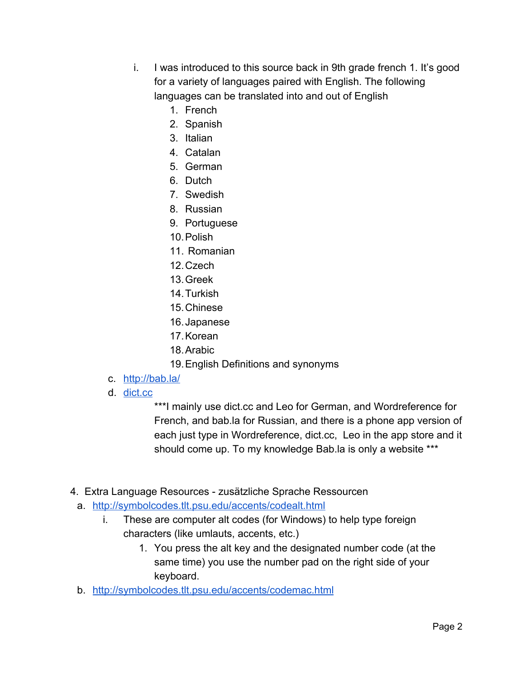- i. I was introduced to this source back in 9th grade french 1. It's good for a variety of languages paired with English. The following languages can be translated into and out of English
	- 1. French
	- 2. Spanish
	- 3. Italian
	- 4. Catalan
	- 5. German
	- 6. Dutch
	- 7. Swedish
	- 8. Russian
	- 9. Portuguese
	- 10.Polish
	- 11. Romanian
	- 12.Czech
	- 13.Greek
	- 14.Turkish
	- 15.Chinese
	- 16.Japanese
	- 17.Korean
	- 18.Arabic
	- 19.English Definitions and synonyms
- c. <http://bab.la/>
- d. [dict.cc](http://www.dict.cc/)

\*\*\*I mainly use dict.cc and Leo for German, and Wordreference for French, and bab.la for Russian, and there is a phone app version of each just type in Wordreference, dict.cc, Leo in the app store and it should come up. To my knowledge Bab.la is only a website \*\*\*

- 4. Extra Language Resources zusätzliche Sprache Ressourcen
	- a. <http://symbolcodes.tlt.psu.edu/accents/codealt.html>
		- i. These are computer alt codes (for Windows) to help type foreign characters (like umlauts, accents, etc.)
			- 1. You press the alt key and the designated number code (at the same time) you use the number pad on the right side of your keyboard.
	- b. <http://symbolcodes.tlt.psu.edu/accents/codemac.html>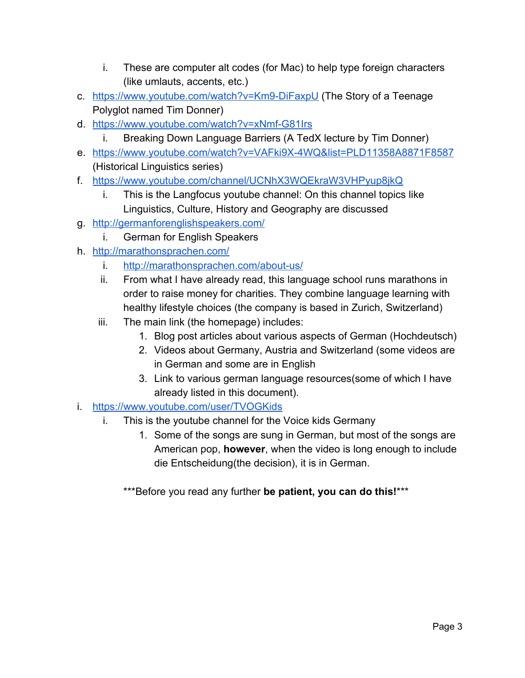- i. These are computer alt codes (for Mac) to help type foreign characters (like umlauts, accents, etc.)
- c. <https://www.youtube.com/watch?v=Km9-DiFaxpU>(The Story of a Teenage Polyglot named Tim Donner)
- d. <https://www.youtube.com/watch?v=xNmf-G81Irs>
	- Breaking Down Language Barriers (A TedX lecture by Tim Donner)
- e. <https://www.youtube.com/watch?v=VAFki9X-4WQ&list=PLD11358A8871F8587> (Historical Linguistics series)
- f. <https://www.youtube.com/channel/UCNhX3WQEkraW3VHPyup8jkQ>
	- i. This is the Langfocus youtube channel: On this channel topics like Linguistics, Culture, History and Geography are discussed
- g. <http://germanforenglishspeakers.com/>
	- i. German for English Speakers
- h. <http://marathonsprachen.com/>
	- i. <http://marathonsprachen.com/about-us/>
	- ii. From what I have already read, this language school runs marathons in order to raise money for charities. They combine language learning with healthy lifestyle choices (the company is based in Zurich, Switzerland)
	- iii. The main link (the homepage) includes:
		- 1. Blog post articles about various aspects of German (Hochdeutsch)
		- 2. Videos about Germany, Austria and Switzerland (some videos are in German and some are in English
		- 3. Link to various german language resources(some of which I have already listed in this document).
- i. <https://www.youtube.com/user/TVOGKids>
	- i. This is the youtube channel for the Voice kids Germany
		- 1. Some of the songs are sung in German, but most of the songs are American pop, **however**, when the video is long enough to include die Entscheidung(the decision), it is in German.

\*\*\*Before you read any further **be patient, you can do this!**\*\*\*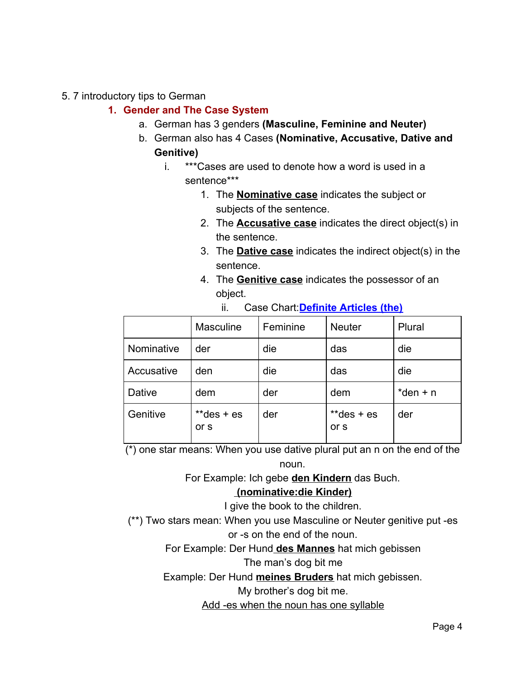#### 5. 7 introductory tips to German

#### **1. Gender and The Case System**

- a. German has 3 genders **(Masculine, Feminine and Neuter)**
- b. German also has 4 Cases **(Nominative, Accusative, Dative and Genitive)**
	- i. \*\*\*Cases are used to denote how a word is used in a sentence\*\*\*
		- 1. The **Nominative case** indicates the subject or subjects of the sentence.
		- 2. The **Accusative case** indicates the direct object(s) in the sentence.
		- 3. The **Dative case** indicates the indirect object(s) in the sentence.
		- 4. The **Genitive case** indicates the possessor of an object.

|            | <b>Masculine</b>    | Feminine | <b>Neuter</b>       | Plural      |
|------------|---------------------|----------|---------------------|-------------|
| Nominative | der                 | die      | das                 | die         |
| Accusative | den                 | die      | das                 | die         |
| Dative     | dem                 | der      | dem                 | $*$ den + n |
| Genitive   | $*deg + es$<br>or s | der      | $*deg + es$<br>or s | der         |

ii. Case Chart:**Definite Articles (the)**

 $\overline{(*)}$  one star means: When you use dative plural put an n on the end of the noun.

For Example: Ich gebe **den Kindern** das Buch.

#### **(nominative:die Kinder)**

I give the book to the children.

(\*\*) Two stars mean: When you use Masculine or Neuter genitive put -es

or -s on the end of the noun.

For Example: Der Hund **des Mannes** hat mich gebissen

The man's dog bit me

Example: Der Hund **meines Bruders** hat mich gebissen.

My brother's dog bit me.

Add -es when the noun has one syllable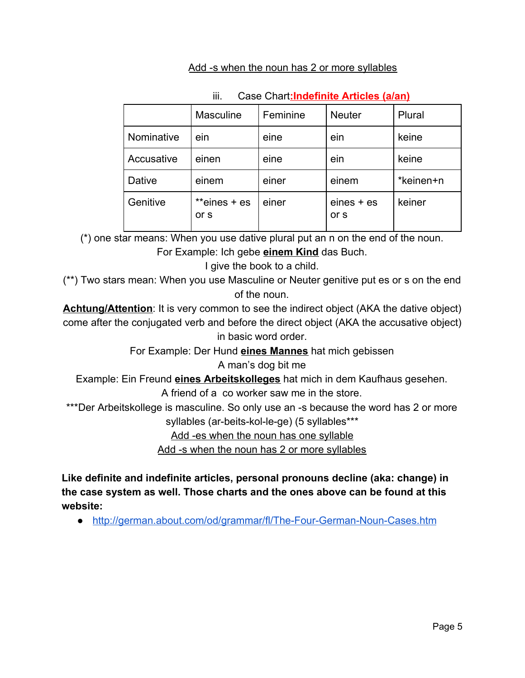#### Add -s when the noun has 2 or more syllables

|            | <b>Masculine</b>       | Feminine | <b>Neuter</b>        | Plural    |
|------------|------------------------|----------|----------------------|-----------|
| Nominative | ein                    | eine     | ein                  | keine     |
| Accusative | einen                  | eine     | ein                  | keine     |
| Dative     | einem                  | einer    | einem                | *keinen+n |
| Genitive   | **eines $+$ es<br>or s | einer    | $eines + es$<br>or s | keiner    |

### iii. Case Chart**:Indefinite Articles (a/an)**

(\*) one star means: When you use dative plural put an n on the end of the noun.

For Example: Ich gebe **einem Kind** das Buch.

I give the book to a child.

(\*\*) Two stars mean: When you use Masculine or Neuter genitive put es or s on the end of the noun.

**Achtung/Attention**: It is very common to see the indirect object (AKA the dative object) come after the conjugated verb and before the direct object (AKA the accusative object) in basic word order.

For Example: Der Hund **eines Mannes** hat mich gebissen

A man's dog bit me

Example: Ein Freund **eines Arbeitskolleges** hat mich in dem Kaufhaus gesehen. A friend of a co worker saw me in the store.

\*\*\*Der Arbeitskollege is masculine. So only use an -s because the word has 2 or more

syllables (ar-beits-kol-le-ge) (5 syllables\*\*\*

Add -es when the noun has one syllable

Add -s when the noun has 2 or more syllables

**Like definite and indefinite articles, personal pronouns decline (aka: change) in the case system as well. Those charts and the ones above can be found at this website:**

● <http://german.about.com/od/grammar/fl/The-Four-German-Noun-Cases.htm>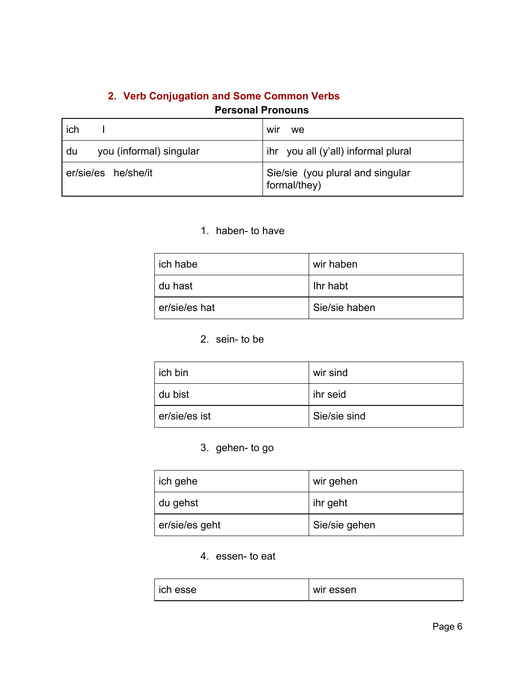# **2. Verb Conjugation and Some Common Verbs**

# **Personal Pronouns**

| ich                           | WII<br>we                                        |
|-------------------------------|--------------------------------------------------|
| you (informal) singular<br>du | ihr you all (y'all) informal plural              |
| er/sie/es he/she/it           | Sie/sie (you plural and singular<br>formal/they) |

#### 1. haben- to have

| ich habe      | wir haben     |
|---------------|---------------|
| du hast       | l Ihr habt    |
| er/sie/es hat | Sie/sie haben |

#### 2. sein- to be

| ich bin       | wir sind     |
|---------------|--------------|
| du bist       | ihr seid     |
| er/sie/es ist | Sie/sie sind |

### 3. gehen- to go

| ich gehe       | wir gehen     |
|----------------|---------------|
| I du gehst     | ihr geht      |
| er/sie/es geht | Sie/sie gehen |

4. essen- to eat

| ich esse | wir essen |
|----------|-----------|
|----------|-----------|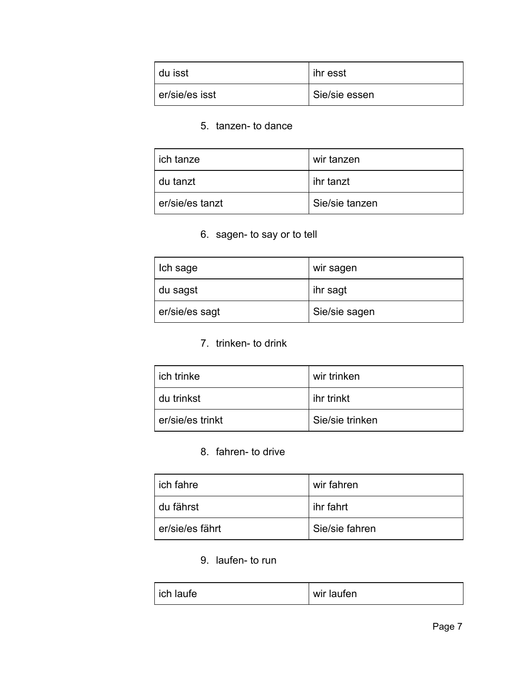| du isst        | ihr esst      |
|----------------|---------------|
| er/sie/es isst | Sie/sie essen |

### 5. tanzen- to dance

| ich tanze       | wir tanzen     |
|-----------------|----------------|
| du tanzt        | l ihr tanzt    |
| er/sie/es tanzt | Sie/sie tanzen |

6. sagen- to say or to tell

| Ich sage       | wir sagen     |
|----------------|---------------|
| du sagst       | ihr sagt      |
| er/sie/es sagt | Sie/sie sagen |

7. trinken- to drink

| ich trinke       | wir trinken     |
|------------------|-----------------|
| du trinkst       | ihr trinkt      |
| er/sie/es trinkt | Sie/sie trinken |

8. fahren- to drive

| ich fahre       | wir fahren     |
|-----------------|----------------|
| du fährst       | l ihr fahrt    |
| er/sie/es fährt | Sie/sie fahren |

9. laufen- to run

| ich laufe | wir laufen |
|-----------|------------|
|           |            |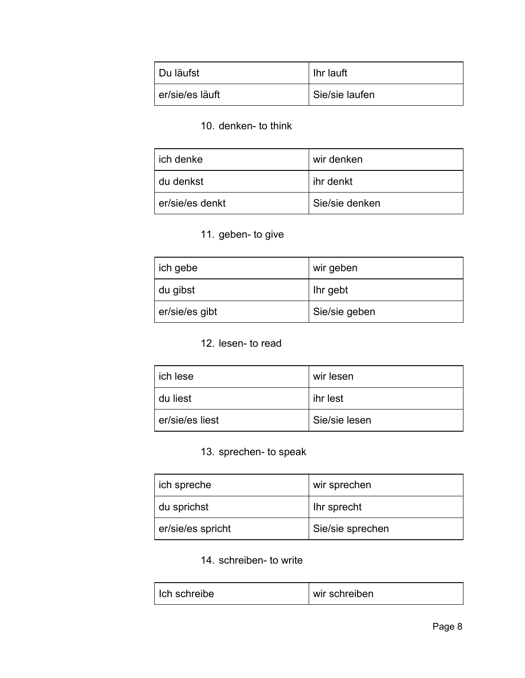| Du läufst       | Ihr lauft      |
|-----------------|----------------|
| er/sie/es läuft | Sie/sie laufen |

### 10. denken- to think

| ich denke       | wir denken     |
|-----------------|----------------|
| du denkst       | l ihr denkt    |
| er/sie/es denkt | Sie/sie denken |

# 11. geben- to give

| ich gebe       | wir geben     |
|----------------|---------------|
| ' du gibst     | Ihr gebt      |
| er/sie/es gibt | Sie/sie geben |

### 12. lesen- to read

| ich lese        | wir lesen     |
|-----------------|---------------|
| du liest        | ihr lest      |
| er/sie/es liest | Sie/sie lesen |

### 13. sprechen- to speak

| ich spreche       | wir sprechen     |
|-------------------|------------------|
| du sprichst       | Ihr sprecht      |
| er/sie/es spricht | Sie/sie sprechen |

### 14. schreiben- to write

| wir schreiben<br>Ich schreibe |
|-------------------------------|
|-------------------------------|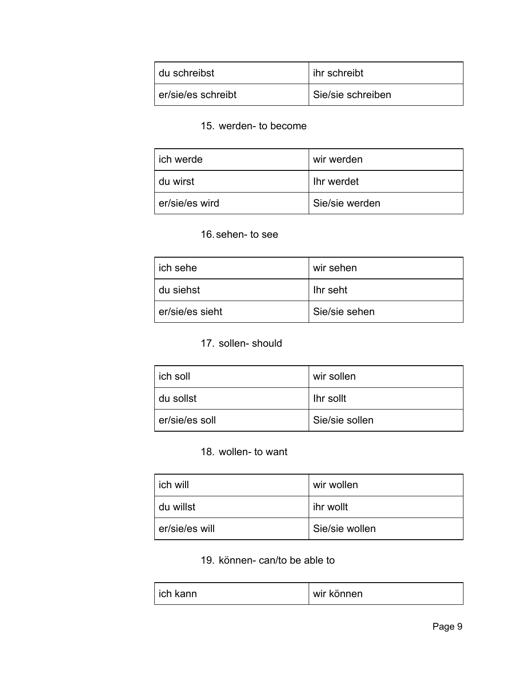| l du schreibst     | l ihr schreibt    |
|--------------------|-------------------|
| er/sie/es schreibt | Sie/sie schreiben |

### 15. werden- to become

| ich werde      | wir werden     |
|----------------|----------------|
| du wirst       | In werdet      |
| er/sie/es wird | Sie/sie werden |

# 16.sehen- to see

| ich sehe        | wir sehen     |
|-----------------|---------------|
| du siehst       | Ihr seht      |
| er/sie/es sieht | Sie/sie sehen |

# 17. sollen- should

| ich soll       | wir sollen       |
|----------------|------------------|
| du sollst      | <b>Ihr sollt</b> |
| er/sie/es soll | Sie/sie sollen   |

### 18. wollen- to want

| ich will       | wir wollen     |
|----------------|----------------|
| du willst      | l ihr wollt    |
| er/sie/es will | Sie/sie wollen |

### 19. können- can/to be able to

| l ich kann | wir können |
|------------|------------|
|------------|------------|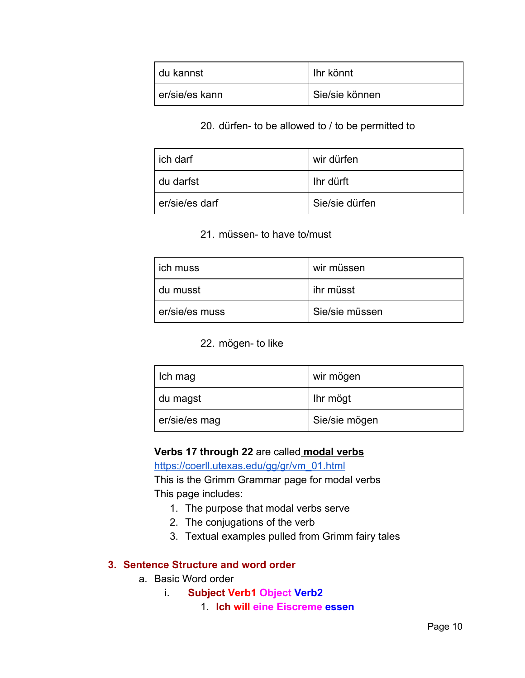| I du kannst    | Ihr könnt      |
|----------------|----------------|
| er/sie/es kann | Sie/sie können |

#### 20. dürfen- to be allowed to / to be permitted to

| ich darf       | wir dürfen     |
|----------------|----------------|
| du darfst      | l Ihr dürft    |
| er/sie/es darf | Sie/sie dürfen |

#### 21. müssen- to have to/must

| ich muss       | wir müssen     |
|----------------|----------------|
| du musst       | ihr müsst      |
| er/sie/es muss | Sie/sie müssen |

#### 22. mögen- to like

| Ich mag       | wir mögen     |
|---------------|---------------|
| du magst      | Ihr mögt      |
| er/sie/es mag | Sie/sie mögen |

#### **Verbs 17 through 22** are called **modal verbs**

[https://coerll.utexas.edu/gg/gr/vm\\_01.html](https://coerll.utexas.edu/gg/gr/vm_01.html)

This is the Grimm Grammar page for modal verbs This page includes:

- 1. The purpose that modal verbs serve
- 2. The conjugations of the verb
- 3. Textual examples pulled from Grimm fairy tales

#### **3. Sentence Structure and word order**

- a. Basic Word order
	- i. **Subject Verb1 Object Verb2**
		- 1. **Ich will eine Eiscreme essen**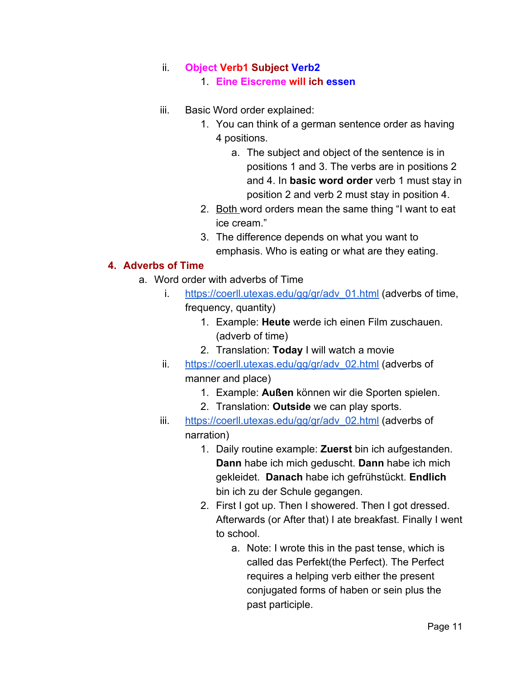### ii. **Object Verb1 Subject Verb2**

1. **Eine Eiscreme will ich essen**

- iii. Basic Word order explained:
	- 1. You can think of a german sentence order as having 4 positions.
		- a. The subject and object of the sentence is in positions 1 and 3. The verbs are in positions 2 and 4. In **basic word order** verb 1 must stay in position 2 and verb 2 must stay in position 4.
	- 2. Both word orders mean the same thing "I want to eat ice cream."
	- 3. The difference depends on what you want to emphasis. Who is eating or what are they eating.

### **4. Adverbs of Time**

- a. Word order with adverbs of Time
	- i. [https://coerll.utexas.edu/gg/gr/adv\\_01.html](https://coerll.utexas.edu/gg/gr/adv_01.html) (adverbs of time, frequency, quantity)
		- 1. Example: **Heute** werde ich einen Film zuschauen. (adverb of time)
		- 2. Translation: **Today** I will watch a movie
	- ii. [https://coerll.utexas.edu/gg/gr/adv\\_02.html](https://coerll.utexas.edu/gg/gr/adv_02.html) (adverbs of manner and place)
		- 1. Example: **Außen** können wir die Sporten spielen.
		- 2. Translation: **Outside** we can play sports.
	- iii. [https://coerll.utexas.edu/gg/gr/adv\\_02.html](https://coerll.utexas.edu/gg/gr/adv_02.html) (adverbs of narration)
		- 1. Daily routine example: **Zuerst** bin ich aufgestanden. **Dann** habe ich mich geduscht. **Dann** habe ich mich gekleidet. **Danach** habe ich gefrühstückt. **Endlich** bin ich zu der Schule gegangen.
		- 2. First I got up. Then I showered. Then I got dressed. Afterwards (or After that) I ate breakfast. Finally I went to school.
			- a. Note: I wrote this in the past tense, which is called das Perfekt(the Perfect). The Perfect requires a helping verb either the present conjugated forms of haben or sein plus the past participle.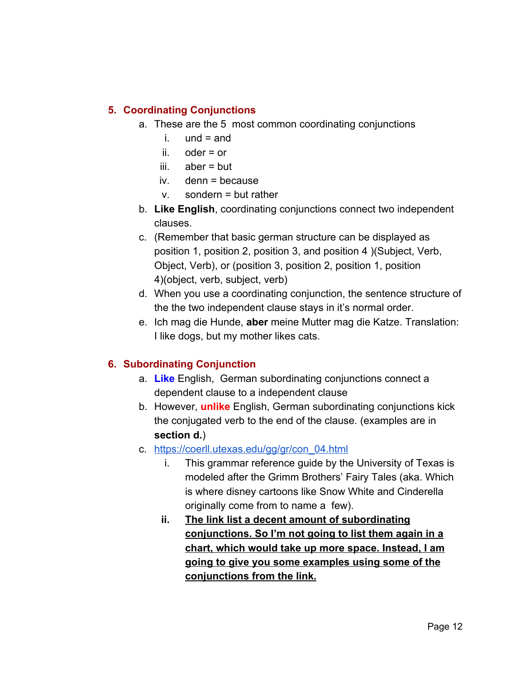### **5. Coordinating Conjunctions**

- a. These are the 5 most common coordinating conjunctions
	- i.  $und = and$
	- ii. oder = or
	- iii. aber = but
	- iv. denn = because
	- v. sondern = but rather
- b. **Like English**, coordinating conjunctions connect two independent clauses.
- c. (Remember that basic german structure can be displayed as position 1, position 2, position 3, and position 4 )(Subject, Verb, Object, Verb), or (position 3, position 2, position 1, position 4)(object, verb, subject, verb)
- d. When you use a coordinating conjunction, the sentence structure of the the two independent clause stays in it's normal order.
- e. Ich mag die Hunde, **aber** meine Mutter mag die Katze. Translation: I like dogs, but my mother likes cats.

### **6. Subordinating Conjunction**

- a. **Like** English, German subordinating conjunctions connect a dependent clause to a independent clause
- b. However, **unlike** English, German subordinating conjunctions kick the conjugated verb to the end of the clause. (examples are in **section d.**)
- c. [https://coerll.utexas.edu/gg/gr/con\\_04.html](https://coerll.utexas.edu/gg/gr/con_04.html)
	- i. This grammar reference guide by the University of Texas is modeled after the Grimm Brothers' Fairy Tales (aka. Which is where disney cartoons like Snow White and Cinderella originally come from to name a few).
	- **ii. The link list a decent amount of subordinating conjunctions. So I'm not going to list them again in a chart, which would take up more space. Instead, I am going to give you some examples using some of the conjunctions from the link.**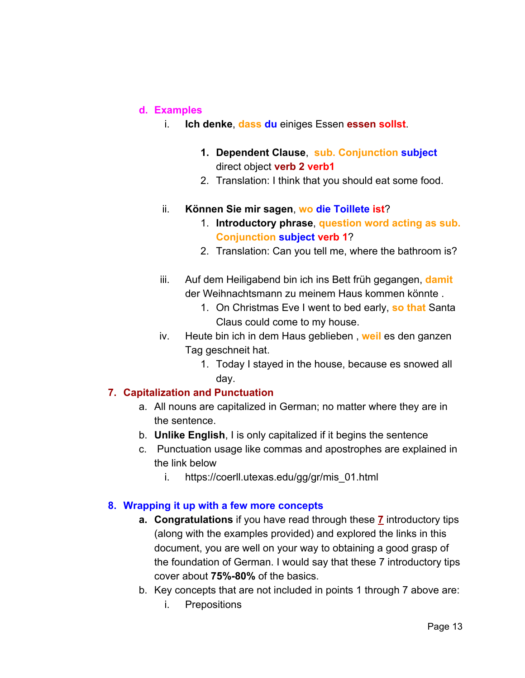#### **d. Examples**

- i. **Ich denke**, **dass du** einiges Essen **essen sollst**.
	- **1. Dependent Clause**, **sub. Conjunction subject** direct object **verb 2 verb1**
	- 2. Translation: I think that you should eat some food.

#### ii. **Können Sie mir sagen**, **wo die Toillete ist**?

- 1. **Introductory phrase**, **question word acting as sub. Conjunction subject verb 1**?
- 2. Translation: Can you tell me, where the bathroom is?
- iii. Auf dem Heiligabend bin ich ins Bett früh gegangen, **damit** der Weihnachtsmann zu meinem Haus kommen könnte .
	- 1. On Christmas Eve I went to bed early, **so that** Santa Claus could come to my house.
- iv. Heute bin ich in dem Haus geblieben , **weil** es den ganzen Tag geschneit hat.
	- 1. Today I stayed in the house, because es snowed all day.

#### **7. Capitalization and Punctuation**

- a. All nouns are capitalized in German; no matter where they are in the sentence.
- b. **Unlike English**, I is only capitalized if it begins the sentence
- c. Punctuation usage like commas and apostrophes are explained in the link below
	- i. https://coerll.utexas.edu/gg/gr/mis\_01.html

#### **8. Wrapping it up with a few more concepts**

- **a. Congratulations** if you have read through these **7** introductory tips (along with the examples provided) and explored the links in this document, you are well on your way to obtaining a good grasp of the foundation of German. I would say that these 7 introductory tips cover about **75%-80%** of the basics.
- b. Key concepts that are not included in points 1 through 7 above are:
	- i. Prepositions